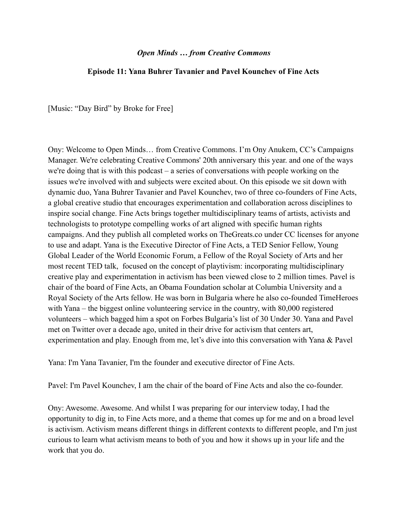## *Open Minds … from Creative Commons*

## **Episode 11: Yana Buhrer Tavanier and Pavel Kounchev of Fine Acts**

[Music: "Day Bird" by Broke for Free]

Ony: Welcome to Open Minds… from Creative Commons. I'm Ony Anukem, CC's Campaigns Manager. We're celebrating Creative Commons' 20th anniversary this year. and one of the ways we're doing that is with this podcast – a series of conversations with people working on the issues we're involved with and subjects were excited about. On this episode we sit down with dynamic duo, Yana Buhrer Tavanier and Pavel Kounchev, two of three co-founders of Fine Acts, a global creative studio that encourages experimentation and collaboration across disciplines to inspire social change. Fine Acts brings together multidisciplinary teams of artists, activists and technologists to prototype compelling works of art aligned with specific human rights campaigns. And they publish all completed works on TheGreats.co under CC licenses for anyone to use and adapt. Yana is the Executive Director of Fine Acts, a TED Senior Fellow, Young Global Leader of the World Economic Forum, a Fellow of the Royal Society of Arts and her most recent TED talk, focused on the concept of playtivism: incorporating multidisciplinary creative play and experimentation in activism has been viewed close to 2 million times. Pavel is chair of the board of Fine Acts, an Obama Foundation scholar at Columbia University and a Royal Society of the Arts fellow. He was born in Bulgaria where he also co-founded TimeHeroes with Yana – the biggest online volunteering service in the country, with 80,000 registered volunteers – which bagged him a spot on Forbes Bulgaria's list of 30 Under 30. Yana and Pavel met on Twitter over a decade ago, united in their drive for activism that centers art, experimentation and play. Enough from me, let's dive into this conversation with Yana & Pavel

Yana: I'm Yana Tavanier, I'm the founder and executive director of Fine Acts.

Pavel: I'm Pavel Kounchev, I am the chair of the board of Fine Acts and also the co-founder.

Ony: Awesome. Awesome. And whilst I was preparing for our interview today, I had the opportunity to dig in, to Fine Acts more, and a theme that comes up for me and on a broad level is activism. Activism means different things in different contexts to different people, and I'm just curious to learn what activism means to both of you and how it shows up in your life and the work that you do.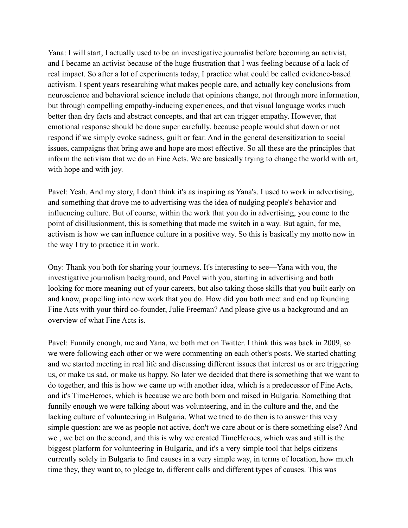Yana: I will start, I actually used to be an investigative journalist before becoming an activist, and I became an activist because of the huge frustration that I was feeling because of a lack of real impact. So after a lot of experiments today, I practice what could be called evidence-based activism. I spent years researching what makes people care, and actually key conclusions from neuroscience and behavioral science include that opinions change, not through more information, but through compelling empathy-inducing experiences, and that visual language works much better than dry facts and abstract concepts, and that art can trigger empathy. However, that emotional response should be done super carefully, because people would shut down or not respond if we simply evoke sadness, guilt or fear. And in the general desensitization to social issues, campaigns that bring awe and hope are most effective. So all these are the principles that inform the activism that we do in Fine Acts. We are basically trying to change the world with art, with hope and with joy.

Pavel: Yeah. And my story, I don't think it's as inspiring as Yana's. I used to work in advertising, and something that drove me to advertising was the idea of nudging people's behavior and influencing culture. But of course, within the work that you do in advertising, you come to the point of disillusionment, this is something that made me switch in a way. But again, for me, activism is how we can influence culture in a positive way. So this is basically my motto now in the way I try to practice it in work.

Ony: Thank you both for sharing your journeys. It's interesting to see—Yana with you, the investigative journalism background, and Pavel with you, starting in advertising and both looking for more meaning out of your careers, but also taking those skills that you built early on and know, propelling into new work that you do. How did you both meet and end up founding Fine Acts with your third co-founder, Julie Freeman? And please give us a background and an overview of what Fine Acts is.

Pavel: Funnily enough, me and Yana, we both met on Twitter. I think this was back in 2009, so we were following each other or we were commenting on each other's posts. We started chatting and we started meeting in real life and discussing different issues that interest us or are triggering us, or make us sad, or make us happy. So later we decided that there is something that we want to do together, and this is how we came up with another idea, which is a predecessor of Fine Acts, and it's TimeHeroes, which is because we are both born and raised in Bulgaria. Something that funnily enough we were talking about was volunteering, and in the culture and the, and the lacking culture of volunteering in Bulgaria. What we tried to do then is to answer this very simple question: are we as people not active, don't we care about or is there something else? And we , we bet on the second, and this is why we created TimeHeroes, which was and still is the biggest platform for volunteering in Bulgaria, and it's a very simple tool that helps citizens currently solely in Bulgaria to find causes in a very simple way, in terms of location, how much time they, they want to, to pledge to, different calls and different types of causes. This was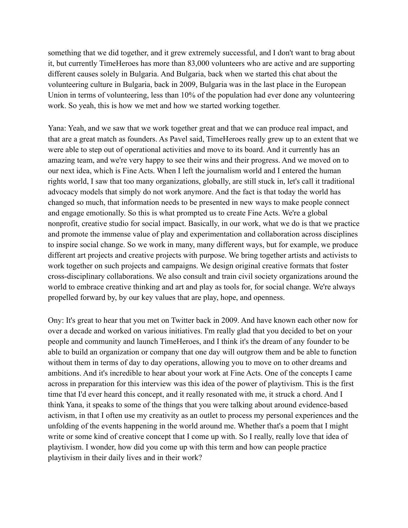something that we did together, and it grew extremely successful, and I don't want to brag about it, but currently TimeHeroes has more than 83,000 volunteers who are active and are supporting different causes solely in Bulgaria. And Bulgaria, back when we started this chat about the volunteering culture in Bulgaria, back in 2009, Bulgaria was in the last place in the European Union in terms of volunteering, less than 10% of the population had ever done any volunteering work. So yeah, this is how we met and how we started working together.

Yana: Yeah, and we saw that we work together great and that we can produce real impact, and that are a great match as founders. As Pavel said, TimeHeroes really grew up to an extent that we were able to step out of operational activities and move to its board. And it currently has an amazing team, and we're very happy to see their wins and their progress. And we moved on to our next idea, which is Fine Acts. When I left the journalism world and I entered the human rights world, I saw that too many organizations, globally, are still stuck in, let's call it traditional advocacy models that simply do not work anymore. And the fact is that today the world has changed so much, that information needs to be presented in new ways to make people connect and engage emotionally. So this is what prompted us to create Fine Acts. We're a global nonprofit, creative studio for social impact. Basically, in our work, what we do is that we practice and promote the immense value of play and experimentation and collaboration across disciplines to inspire social change. So we work in many, many different ways, but for example, we produce different art projects and creative projects with purpose. We bring together artists and activists to work together on such projects and campaigns. We design original creative formats that foster cross-disciplinary collaborations. We also consult and train civil society organizations around the world to embrace creative thinking and art and play as tools for, for social change. We're always propelled forward by, by our key values that are play, hope, and openness.

Ony: It's great to hear that you met on Twitter back in 2009. And have known each other now for over a decade and worked on various initiatives. I'm really glad that you decided to bet on your people and community and launch TimeHeroes, and I think it's the dream of any founder to be able to build an organization or company that one day will outgrow them and be able to function without them in terms of day to day operations, allowing you to move on to other dreams and ambitions. And it's incredible to hear about your work at Fine Acts. One of the concepts I came across in preparation for this interview was this idea of the power of playtivism. This is the first time that I'd ever heard this concept, and it really resonated with me, it struck a chord. And I think Yana, it speaks to some of the things that you were talking about around evidence-based activism, in that I often use my creativity as an outlet to process my personal experiences and the unfolding of the events happening in the world around me. Whether that's a poem that I might write or some kind of creative concept that I come up with. So I really, really love that idea of playtivism. I wonder, how did you come up with this term and how can people practice playtivism in their daily lives and in their work?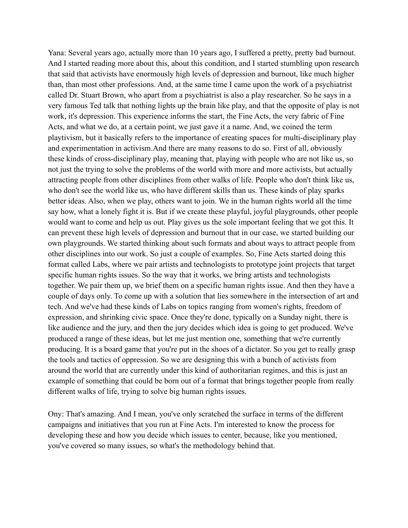Yana: Several years ago, actually more than 10 years ago, I suffered a pretty, pretty bad burnout. And I started reading more about this, about this condition, and I started stumbling upon research that said that activists have enormously high levels of depression and burnout, like much higher than, than most other professions. And, at the same time I came upon the work of a psychiatrist called Dr. Stuart Brown, who apart from a psychiatrist is also a play researcher. So he says in a very famous Ted talk that nothing lights up the brain like play, and that the opposite of play is not work, it's depression. This experience informs the start, the Fine Acts, the very fabric of Fine Acts, and what we do, at a certain point, we just gave it a name. And, we coined the term playtivism, but it basically refers to the importance of creating spaces for multi-disciplinary play and experimentation in activism.And there are many reasons to do so. First of all, obviously these kinds of cross-disciplinary play, meaning that, playing with people who are not like us, so not just the trying to solve the problems of the world with more and more activists, but actually attracting people from other disciplines from other walks of life. People who don't think like us, who don't see the world like us, who have different skills than us. These kinds of play sparks better ideas. Also, when we play, others want to join. We in the human rights world all the time say how, what a lonely fight it is. But if we create these playful, joyful playgrounds, other people would want to come and help us out. Play gives us the sole important feeling that we got this. It can prevent these high levels of depression and burnout that in our case, we started building our own playgrounds. We started thinking about such formats and about ways to attract people from other disciplines into our work. So just a couple of examples. So, Fine Acts started doing this format called Labs, where we pair artists and technologists to prototype joint projects that target specific human rights issues. So the way that it works, we bring artists and technologists together. We pair them up, we brief them on a specific human rights issue. And then they have a couple of days only. To come up with a solution that lies somewhere in the intersection of art and tech. And we've had these kinds of Labs on topics ranging from women's rights, freedom of expression, and shrinking civic space. Once they're done, typically on a Sunday night, there is like audience and the jury, and then the jury decides which idea is going to get produced. We've produced a range of these ideas, but let me just mention one, something that we're currently producing. It is a board game that you're put in the shoes of a dictator. So you get to really grasp the tools and tactics of oppression. So we are designing this with a bunch of activists from around the world that are currently under this kind of authoritarian regimes, and this is just an example of something that could be born out of a format that brings together people from really different walks of life, trying to solve big human rights issues.

Ony: That's amazing. And I mean, you've only scratched the surface in terms of the different campaigns and initiatives that you run at Fine Acts. I'm interested to know the process for developing these and how you decide which issues to center, because, like you mentioned, you've covered so many issues, so what's the methodology behind that.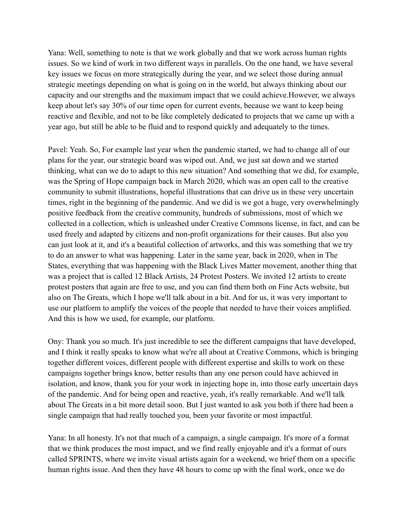Yana: Well, something to note is that we work globally and that we work across human rights issues. So we kind of work in two different ways in parallels. On the one hand, we have several key issues we focus on more strategically during the year, and we select those during annual strategic meetings depending on what is going on in the world, but always thinking about our capacity and our strengths and the maximum impact that we could achieve.However, we always keep about let's say 30% of our time open for current events, because we want to keep being reactive and flexible, and not to be like completely dedicated to projects that we came up with a year ago, but still be able to be fluid and to respond quickly and adequately to the times.

Pavel: Yeah. So, For example last year when the pandemic started, we had to change all of our plans for the year, our strategic board was wiped out. And, we just sat down and we started thinking, what can we do to adapt to this new situation? And something that we did, for example, was the Spring of Hope campaign back in March 2020, which was an open call to the creative community to submit illustrations, hopeful illustrations that can drive us in these very uncertain times, right in the beginning of the pandemic. And we did is we got a huge, very overwhelmingly positive feedback from the creative community, hundreds of submissions, most of which we collected in a collection, which is unleashed under Creative Commons license, in fact, and can be used freely and adapted by citizens and non-profit organizations for their causes. But also you can just look at it, and it's a beautiful collection of artworks, and this was something that we try to do an answer to what was happening. Later in the same year, back in 2020, when in The States, everything that was happening with the Black Lives Matter movement, another thing that was a project that is called 12 Black Artists, 24 Protest Posters. We invited 12 artists to create protest posters that again are free to use, and you can find them both on Fine Acts website, but also on The Greats, which I hope we'll talk about in a bit. And for us, it was very important to use our platform to amplify the voices of the people that needed to have their voices amplified. And this is how we used, for example, our platform.

Ony: Thank you so much. It's just incredible to see the different campaigns that have developed, and I think it really speaks to know what we're all about at Creative Commons, which is bringing together different voices, different people with different expertise and skills to work on these campaigns together brings know, better results than any one person could have achieved in isolation, and know, thank you for your work in injecting hope in, into those early uncertain days of the pandemic. And for being open and reactive, yeah, it's really remarkable. And we'll talk about The Greats in a bit more detail soon. But I just wanted to ask you both if there had been a single campaign that had really touched you, been your favorite or most impactful.

Yana: In all honesty. It's not that much of a campaign, a single campaign. It's more of a format that we think produces the most impact, and we find really enjoyable and it's a format of ours called SPRINTS, where we invite visual artists again for a weekend, we brief them on a specific human rights issue. And then they have 48 hours to come up with the final work, once we do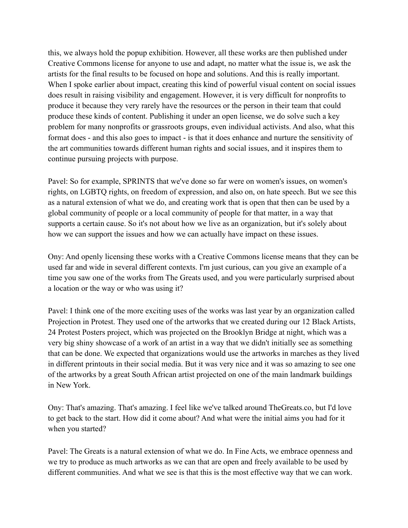this, we always hold the popup exhibition. However, all these works are then published under Creative Commons license for anyone to use and adapt, no matter what the issue is, we ask the artists for the final results to be focused on hope and solutions. And this is really important. When I spoke earlier about impact, creating this kind of powerful visual content on social issues does result in raising visibility and engagement. However, it is very difficult for nonprofits to produce it because they very rarely have the resources or the person in their team that could produce these kinds of content. Publishing it under an open license, we do solve such a key problem for many nonprofits or grassroots groups, even individual activists. And also, what this format does - and this also goes to impact - is that it does enhance and nurture the sensitivity of the art communities towards different human rights and social issues, and it inspires them to continue pursuing projects with purpose.

Pavel: So for example, SPRINTS that we've done so far were on women's issues, on women's rights, on LGBTQ rights, on freedom of expression, and also on, on hate speech. But we see this as a natural extension of what we do, and creating work that is open that then can be used by a global community of people or a local community of people for that matter, in a way that supports a certain cause. So it's not about how we live as an organization, but it's solely about how we can support the issues and how we can actually have impact on these issues.

Ony: And openly licensing these works with a Creative Commons license means that they can be used far and wide in several different contexts. I'm just curious, can you give an example of a time you saw one of the works from The Greats used, and you were particularly surprised about a location or the way or who was using it?

Pavel: I think one of the more exciting uses of the works was last year by an organization called Projection in Protest. They used one of the artworks that we created during our 12 Black Artists, 24 Protest Posters project, which was projected on the Brooklyn Bridge at night, which was a very big shiny showcase of a work of an artist in a way that we didn't initially see as something that can be done. We expected that organizations would use the artworks in marches as they lived in different printouts in their social media. But it was very nice and it was so amazing to see one of the artworks by a great South African artist projected on one of the main landmark buildings in New York.

Ony: That's amazing. That's amazing. I feel like we've talked around TheGreats.co, but I'd love to get back to the start. How did it come about? And what were the initial aims you had for it when you started?

Pavel: The Greats is a natural extension of what we do. In Fine Acts, we embrace openness and we try to produce as much artworks as we can that are open and freely available to be used by different communities. And what we see is that this is the most effective way that we can work.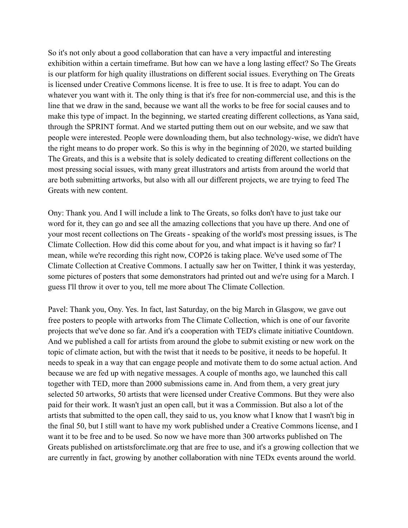So it's not only about a good collaboration that can have a very impactful and interesting exhibition within a certain timeframe. But how can we have a long lasting effect? So The Greats is our platform for high quality illustrations on different social issues. Everything on The Greats is licensed under Creative Commons license. It is free to use. It is free to adapt. You can do whatever you want with it. The only thing is that it's free for non-commercial use, and this is the line that we draw in the sand, because we want all the works to be free for social causes and to make this type of impact. In the beginning, we started creating different collections, as Yana said, through the SPRINT format. And we started putting them out on our website, and we saw that people were interested. People were downloading them, but also technology-wise, we didn't have the right means to do proper work. So this is why in the beginning of 2020, we started building The Greats, and this is a website that is solely dedicated to creating different collections on the most pressing social issues, with many great illustrators and artists from around the world that are both submitting artworks, but also with all our different projects, we are trying to feed The Greats with new content.

Ony: Thank you. And I will include a link to The Greats, so folks don't have to just take our word for it, they can go and see all the amazing collections that you have up there. And one of your most recent collections on The Greats - speaking of the world's most pressing issues, is The Climate Collection. How did this come about for you, and what impact is it having so far? I mean, while we're recording this right now, COP26 is taking place. We've used some of The Climate Collection at Creative Commons. I actually saw her on Twitter, I think it was yesterday, some pictures of posters that some demonstrators had printed out and we're using for a March. I guess I'll throw it over to you, tell me more about The Climate Collection.

Pavel: Thank you, Ony. Yes. In fact, last Saturday, on the big March in Glasgow, we gave out free posters to people with artworks from The Climate Collection, which is one of our favorite projects that we've done so far. And it's a cooperation with TED's climate initiative Countdown. And we published a call for artists from around the globe to submit existing or new work on the topic of climate action, but with the twist that it needs to be positive, it needs to be hopeful. It needs to speak in a way that can engage people and motivate them to do some actual action. And because we are fed up with negative messages. A couple of months ago, we launched this call together with TED, more than 2000 submissions came in. And from them, a very great jury selected 50 artworks, 50 artists that were licensed under Creative Commons. But they were also paid for their work. It wasn't just an open call, but it was a Commission. But also a lot of the artists that submitted to the open call, they said to us, you know what I know that I wasn't big in the final 50, but I still want to have my work published under a Creative Commons license, and I want it to be free and to be used. So now we have more than 300 artworks published on The Greats published on artistsforclimate.org that are free to use, and it's a growing collection that we are currently in fact, growing by another collaboration with nine TEDx events around the world.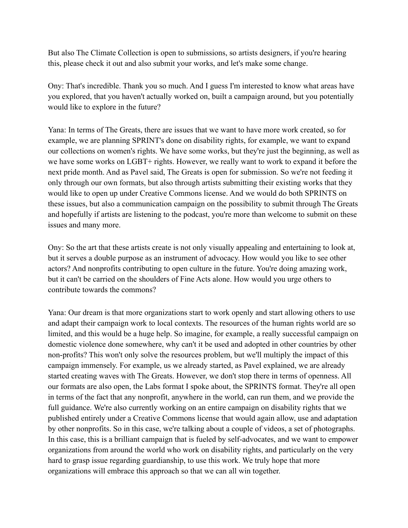But also The Climate Collection is open to submissions, so artists designers, if you're hearing this, please check it out and also submit your works, and let's make some change.

Ony: That's incredible. Thank you so much. And I guess I'm interested to know what areas have you explored, that you haven't actually worked on, built a campaign around, but you potentially would like to explore in the future?

Yana: In terms of The Greats, there are issues that we want to have more work created, so for example, we are planning SPRINT's done on disability rights, for example, we want to expand our collections on women's rights. We have some works, but they're just the beginning, as well as we have some works on LGBT+ rights. However, we really want to work to expand it before the next pride month. And as Pavel said, The Greats is open for submission. So we're not feeding it only through our own formats, but also through artists submitting their existing works that they would like to open up under Creative Commons license. And we would do both SPRINTS on these issues, but also a communication campaign on the possibility to submit through The Greats and hopefully if artists are listening to the podcast, you're more than welcome to submit on these issues and many more.

Ony: So the art that these artists create is not only visually appealing and entertaining to look at, but it serves a double purpose as an instrument of advocacy. How would you like to see other actors? And nonprofits contributing to open culture in the future. You're doing amazing work, but it can't be carried on the shoulders of Fine Acts alone. How would you urge others to contribute towards the commons?

Yana: Our dream is that more organizations start to work openly and start allowing others to use and adapt their campaign work to local contexts. The resources of the human rights world are so limited, and this would be a huge help. So imagine, for example, a really successful campaign on domestic violence done somewhere, why can't it be used and adopted in other countries by other non-profits? This won't only solve the resources problem, but we'll multiply the impact of this campaign immensely. For example, us we already started, as Pavel explained, we are already started creating waves with The Greats. However, we don't stop there in terms of openness. All our formats are also open, the Labs format I spoke about, the SPRINTS format. They're all open in terms of the fact that any nonprofit, anywhere in the world, can run them, and we provide the full guidance. We're also currently working on an entire campaign on disability rights that we published entirely under a Creative Commons license that would again allow, use and adaptation by other nonprofits. So in this case, we're talking about a couple of videos, a set of photographs. In this case, this is a brilliant campaign that is fueled by self-advocates, and we want to empower organizations from around the world who work on disability rights, and particularly on the very hard to grasp issue regarding guardianship, to use this work. We truly hope that more organizations will embrace this approach so that we can all win together.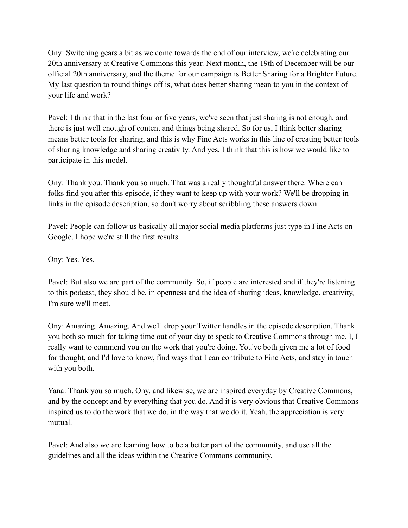Ony: Switching gears a bit as we come towards the end of our interview, we're celebrating our 20th anniversary at Creative Commons this year. Next month, the 19th of December will be our official 20th anniversary, and the theme for our campaign is Better Sharing for a Brighter Future. My last question to round things off is, what does better sharing mean to you in the context of your life and work?

Pavel: I think that in the last four or five years, we've seen that just sharing is not enough, and there is just well enough of content and things being shared. So for us, I think better sharing means better tools for sharing, and this is why Fine Acts works in this line of creating better tools of sharing knowledge and sharing creativity. And yes, I think that this is how we would like to participate in this model.

Ony: Thank you. Thank you so much. That was a really thoughtful answer there. Where can folks find you after this episode, if they want to keep up with your work? We'll be dropping in links in the episode description, so don't worry about scribbling these answers down.

Pavel: People can follow us basically all major social media platforms just type in Fine Acts on Google. I hope we're still the first results.

Ony: Yes. Yes.

Pavel: But also we are part of the community. So, if people are interested and if they're listening to this podcast, they should be, in openness and the idea of sharing ideas, knowledge, creativity, I'm sure we'll meet.

Ony: Amazing. Amazing. And we'll drop your Twitter handles in the episode description. Thank you both so much for taking time out of your day to speak to Creative Commons through me. I, I really want to commend you on the work that you're doing. You've both given me a lot of food for thought, and I'd love to know, find ways that I can contribute to Fine Acts, and stay in touch with you both.

Yana: Thank you so much, Ony, and likewise, we are inspired everyday by Creative Commons, and by the concept and by everything that you do. And it is very obvious that Creative Commons inspired us to do the work that we do, in the way that we do it. Yeah, the appreciation is very mutual.

Pavel: And also we are learning how to be a better part of the community, and use all the guidelines and all the ideas within the Creative Commons community.